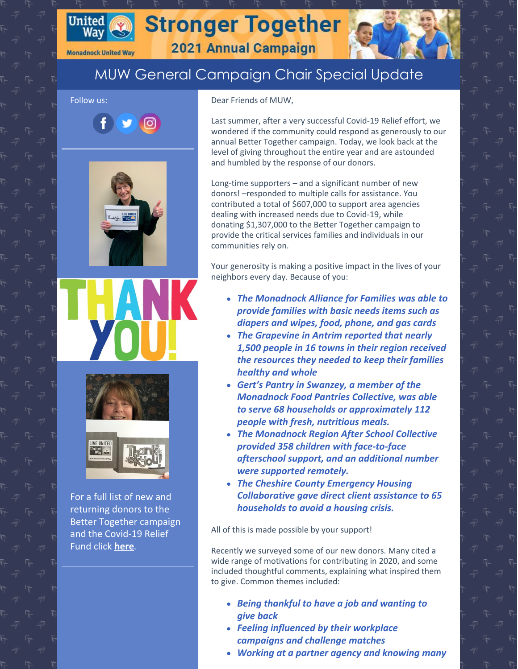

**Monadnock United Way** 

**Stronger Together** 

2021 Annual Campaign

## MUW General Campaign Chair Special Update

Follow us:





For a full list of new and returning donors to the Better Together campaign and the Covid-19 Relief

Fund click **[here](https://www.muw.org/new-donors)**.

LIVE UNITED

Dear Friends of MUW,

Last summer, after a very successful Covid-19 Relief effort, we wondered if the community could respond as generously to our annual Better Together campaign. Today, we look back at the level of giving throughout the entire year and are astounded and humbled by the response of our donors.

Long-time supporters – and a significant number of new donors! –responded to multiple calls for assistance. You contributed a total of \$607,000 to support area agencies dealing with increased needs due to Covid-19, while donating \$1,307,000 to the Better Together campaign to provide the critical services families and individuals in our communities rely on.

Your generosity is making a positive impact in the lives of your neighbors every day. Because of you:

- *The Monadnock Alliance for Families was able to provide families with basic needs items such as diapers and wipes, food, phone, and gas cards*
- *The Grapevine in Antrim reported that nearly 1,500 people in 16 towns in their region received the resources they needed to keep their families healthy and whole*
- *Gert's Pantry in Swanzey, a member of the Monadnock Food Pantries Collective, was able to serve 68 households or approximately 112 people with fresh, nutritious meals.*
- *The Monadnock Region After School Collective provided 358 children with face-to-face afterschool support, and an additional number were supported remotely.*
- *The Cheshire County Emergency Housing Collaborative gave direct client assistance to 65 households to avoid a housing crisis.*

All of this is made possible by your support!

Recently we surveyed some of our new donors. Many cited a wide range of motivations for contributing in 2020, and some included thoughtful comments, explaining what inspired them to give. Common themes included:

- *Being thankful to have a job and wanting to give back*
- *Feeling influenced by their workplace campaigns and challenge matches*
- *Working at a partner agency and knowing many*